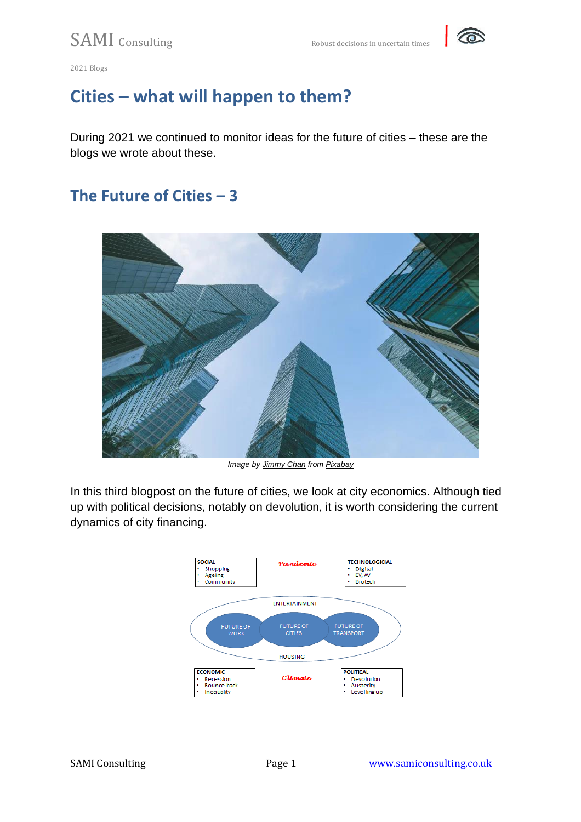

# **Cities – what will happen to them?**

During 2021 we continued to monitor ideas for the future of cities – these are the blogs we wrote about these.

## **The Future of Cities – 3**



*Image by [Jimmy Chan](https://pixabay.com/users/jimbear-1178825/?utm_source=link-attribution&utm_medium=referral&utm_campaign=image&utm_content=3360838) from [Pixabay](https://pixabay.com/?utm_source=link-attribution&utm_medium=referral&utm_campaign=image&utm_content=3360838)*

In this third blogpost on the future of cities, we look at city economics. Although tied up with political decisions, notably on devolution, it is worth considering the current dynamics of city financing.

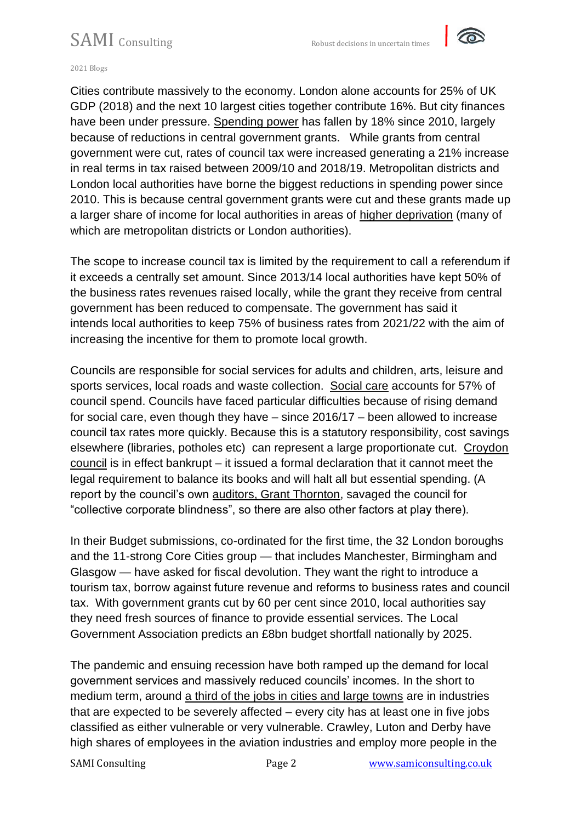

#### 2021 Blogs

Cities contribute massively to the economy. London alone accounts for 25% of UK GDP (2018) and the next 10 largest cities together contribute 16%. But city finances have been under pressure. [Spending power](https://www.instituteforgovernment.org.uk/explainers/local-government-funding-england) has fallen by 18% since 2010, largely because of reductions in central government grants. While grants from central government were cut, rates of council tax were increased generating a 21% increase in real terms in tax raised between 2009/10 and 2018/19. Metropolitan districts and London local authorities have borne the biggest reductions in spending power since 2010. This is because central government grants were cut and these grants made up a larger share of income for local authorities in areas of [higher deprivation](https://www.ifs.org.uk/uploads/English-local-government-funding-trends-and-challenges-in-2019-and-beyond-IFS-Report-166.pdf) (many of which are metropolitan districts or London authorities).

The scope to increase council tax is limited by the requirement to call a referendum if it exceeds a centrally set amount. Since 2013/14 local authorities have kept 50% of the business rates revenues raised locally, while the grant they receive from central government has been reduced to compensate. The government has said it intends local authorities to keep 75% of business rates from 2021/22 with the aim of increasing the incentive for them to promote local growth.

Councils are responsible for social services for adults and children, arts, leisure and sports services, local roads and waste collection. [Social care](https://www.local.gov.uk/sites/default/files/documents/A4%20STATIC%20IMAGE_04_1.pdf) accounts for 57% of council spend. Councils have faced particular difficulties because of rising demand for social care, even though they have – since 2016/17 – been allowed to increase council tax rates more quickly. Because this is a statutory responsibility, cost savings elsewhere (libraries, potholes etc) can represent a large proportionate cut. [Croydon](https://www.theguardian.com/society/2020/nov/11/croydon-council-in-london-bans-spending-over-66m-budget-hole)  [council](https://www.theguardian.com/society/2020/nov/11/croydon-council-in-london-bans-spending-over-66m-budget-hole) is in effect bankrupt – it issued a formal declaration that it cannot meet the legal requirement to balance its books and will halt all but essential spending. (A report by the council's own [auditors, Grant Thornton,](https://www.theguardian.com/society/2020/oct/29/croydon-council-on-verge-of-bankruptcy-after-risky-investments) savaged the council for "collective corporate blindness", so there are also other factors at play there).

In their Budget submissions, co-ordinated for the first time, the 32 London boroughs and the 11-strong Core Cities group — that includes Manchester, Birmingham and Glasgow — have asked for fiscal devolution. They want the right to introduce a tourism tax, borrow against future revenue and reforms to business rates and council tax. With government grants cut by 60 per cent since 2010, local authorities say they need fresh sources of finance to provide essential services. The Local Government Association predicts an £8bn budget shortfall nationally by 2025.

The pandemic and ensuing recession have both ramped up the demand for local government services and massively reduced councils' incomes. In the short to medium term, around [a third of the jobs in cities and large towns](https://www.centreforcities.org/blog/what-does-the-covid-19-crisis-mean-for-the-economies-of-british-cities-and-large-towns/) are in industries that are expected to be severely affected – every city has at least one in five jobs classified as either vulnerable or very vulnerable. Crawley, Luton and Derby have high shares of employees in the aviation industries and employ more people in the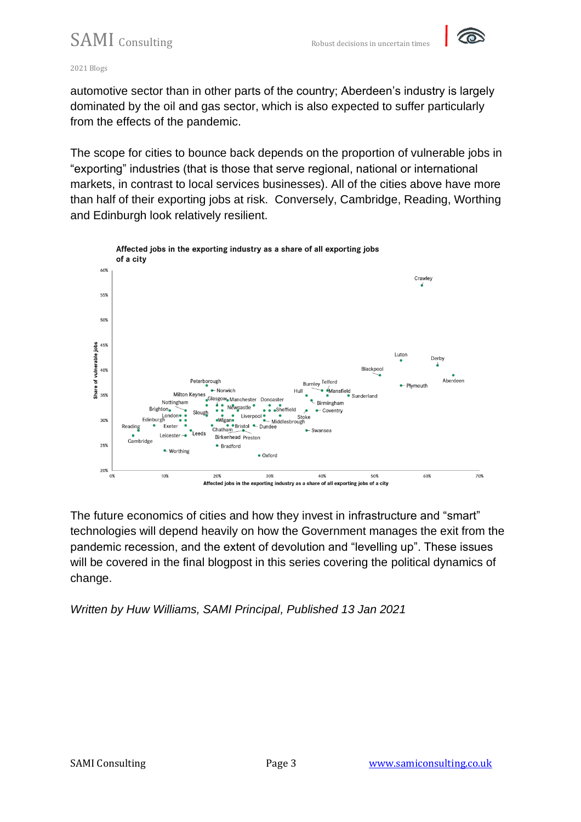

#### 2021 Blogs

automotive sector than in other parts of the country; Aberdeen's industry is largely dominated by the oil and gas sector, which is also expected to suffer particularly from the effects of the pandemic.

The scope for cities to bounce back depends on the proportion of vulnerable jobs in "exporting" industries (that is those that serve regional, national or international markets, in contrast to local services businesses). All of the cities above have more than half of their exporting jobs at risk. Conversely, Cambridge, Reading, Worthing and Edinburgh look relatively resilient.



The future economics of cities and how they invest in infrastructure and "smart" technologies will depend heavily on how the Government manages the exit from the pandemic recession, and the extent of devolution and "levelling up". These issues will be covered in the final blogpost in this series covering the political dynamics of change.

*Written by Huw Williams, SAMI Principal, Published 13 Jan 2021*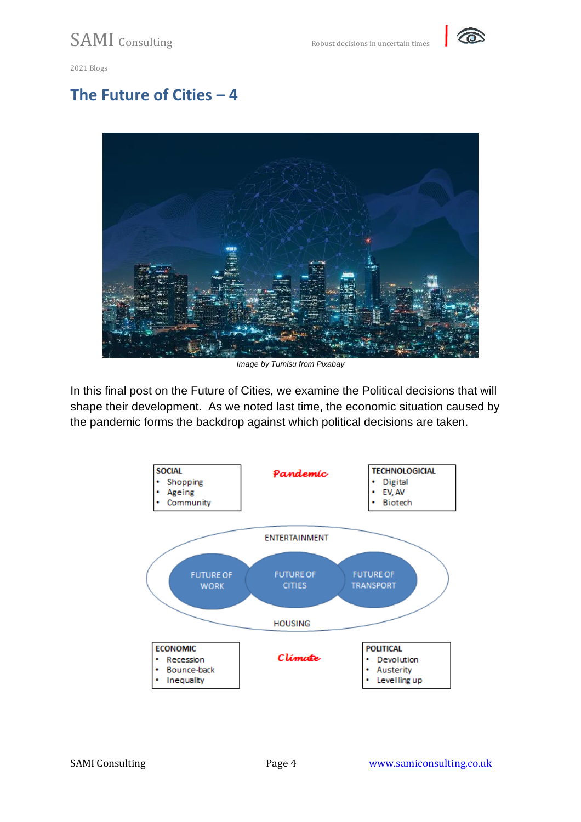

### **The Future of Cities – 4**



*Image by Tumisu from Pixabay*

In this final post on the Future of Cities, we examine the Political decisions that will shape their development. As we noted last time, the economic situation caused by the pandemic forms the backdrop against which political decisions are taken.

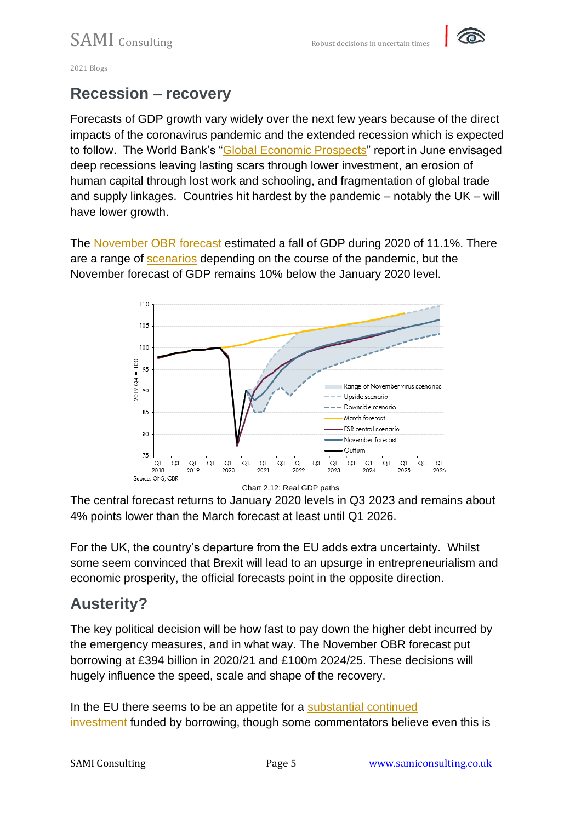

### **Recession – recovery**

Forecasts of GDP growth vary widely over the next few years because of the direct impacts of the coronavirus pandemic and the extended recession which is expected to follow. The World Bank's ["Global Economic Prospects"](https://www.worldbank.org/en/publication/global-economic-prospects) report in June envisaged deep recessions leaving lasting scars through lower investment, an erosion of human capital through lost work and schooling, and fragmentation of global trade and supply linkages. Countries hit hardest by the pandemic – notably the UK – will have lower growth.

The [November OBR forecast](https://obr.uk/efo/economic-and-fiscal-outlook-november-2020/) estimated a fall of GDP during 2020 of 11.1%. There are a range of [scenarios](https://obr.uk/efo/economic-and-fiscal-outlook-november-2020/) depending on the course of the pandemic, but the November forecast of GDP remains 10% below the January 2020 level.



The central forecast returns to January 2020 levels in Q3 2023 and remains about 4% points lower than the March forecast at least until Q1 2026.

For the UK, the country's departure from the EU adds extra uncertainty. Whilst some seem convinced that Brexit will lead to an upsurge in entrepreneurialism and economic prosperity, the official forecasts point in the opposite direction.

## **Austerity?**

The key political decision will be how fast to pay down the higher debt incurred by the emergency measures, and in what way. The November OBR forecast put borrowing at £394 billion in 2020/21 and £100m 2024/25. These decisions will hugely influence the speed, scale and shape of the recovery.

In the EU there seems to be an appetite for a [substantial continued](https://www.brinknews.com/europes-surprising-global-reset/?utm_source=BRINK+Subscribers&utm_campaign=1eb4298ff1-EMAIL_CAMPAIGN_2020_09_29_09_22&utm_medium=email&utm_term=0_c3639d7c98-1eb4298ff1-110166821)  [investment](https://www.brinknews.com/europes-surprising-global-reset/?utm_source=BRINK+Subscribers&utm_campaign=1eb4298ff1-EMAIL_CAMPAIGN_2020_09_29_09_22&utm_medium=email&utm_term=0_c3639d7c98-1eb4298ff1-110166821) funded by borrowing, though some commentators believe even this is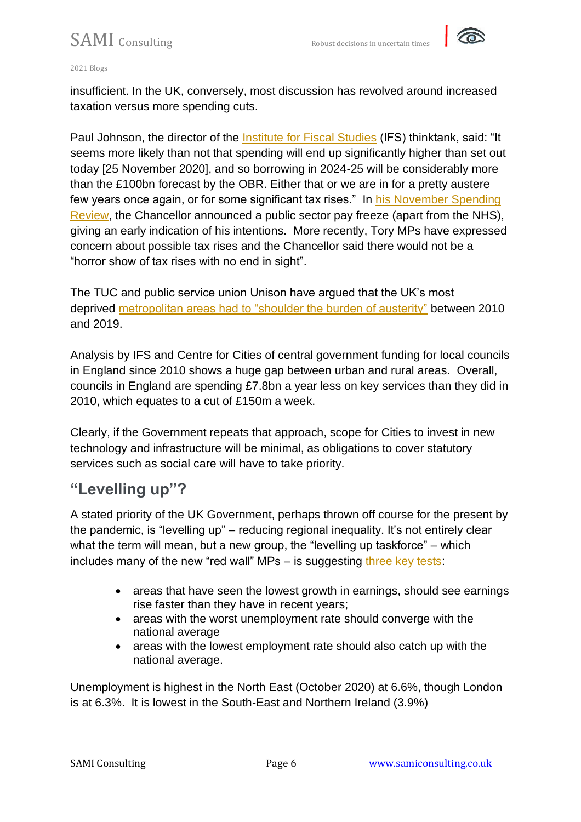

#### 2021 Blogs

insufficient. In the UK, conversely, most discussion has revolved around increased taxation versus more spending cuts.

Paul Johnson, the director of the [Institute for Fiscal Studies](https://www.theguardian.com/politics/2020/nov/25/rishi-sunak-covid-spending-review-uk-spending) (IFS) thinktank, said: "It seems more likely than not that spending will end up significantly higher than set out today [25 November 2020], and so borrowing in 2024-25 will be considerably more than the £100bn forecast by the OBR. Either that or we are in for a pretty austere few years once again, or for some significant tax rises." In [his November Spending](https://www.gov.uk/government/topical-events/spending-review-2020)  [Review,](https://www.gov.uk/government/topical-events/spending-review-2020) the Chancellor announced a public sector pay freeze (apart from the NHS), giving an early indication of his intentions. More recently, Tory MPs have expressed concern about possible tax rises and the Chancellor said there would not be a "horror show of tax rises with no end in sight".

The TUC and public service union Unison have argued that the UK's most deprived [metropolitan areas had to "shoulder the burden of austerity"](https://www.theguardian.com/society/2019/nov/24/deprived-urban-areas-shoulder-burden-of-funding-cuts) between 2010 and 2019.

Analysis by IFS and Centre for Cities of central government funding for local councils in England since 2010 shows a huge gap between urban and rural areas. Overall, councils in England are spending £7.8bn a year less on key services than they did in 2010, which equates to a cut of £150m a week.

Clearly, if the Government repeats that approach, scope for Cities to invest in new technology and infrastructure will be minimal, as obligations to cover statutory services such as social care will have to take priority.

### **"Levelling up"?**

A stated priority of the UK Government, perhaps thrown off course for the present by the pandemic, is "levelling up" – reducing regional inequality. It's not entirely clear what the term will mean, but a new group, the "levelling up taskforce" – which includes many of the new "red wall" MPs – is suggesting [three key tests:](https://www.bbc.co.uk/news/uk-politics-54049920)

- areas that have seen the lowest growth in earnings, should see earnings rise faster than they have in recent years;
- areas with the worst unemployment rate should converge with the national average
- areas with the lowest employment rate should also catch up with the national average.

Unemployment is highest in the North East (October 2020) at 6.6%, though London is at 6.3%. It is lowest in the South-East and Northern Ireland (3.9%)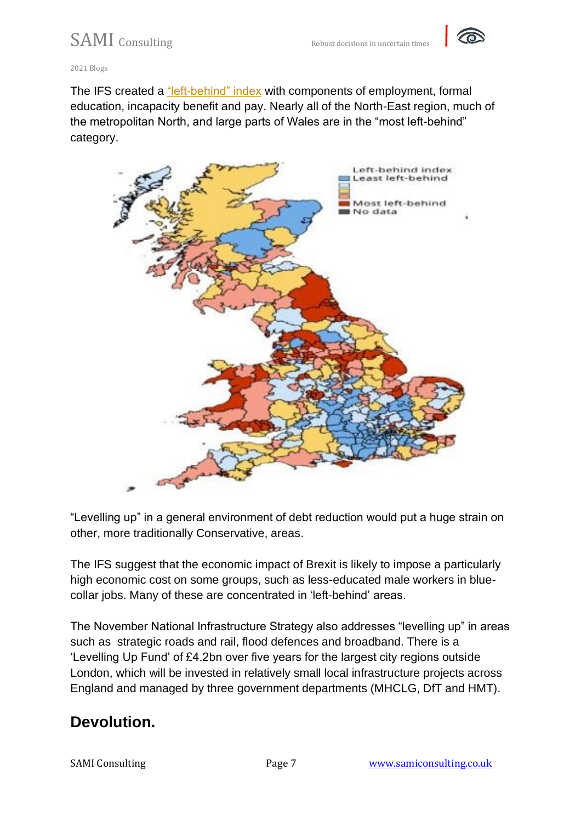

The IFS created a ["left-behind" index](https://www.ifs.org.uk/uploads/CH7-IFS-Green-Budget-2020-Levelling-up.pdf) with components of employment, formal education, incapacity benefit and pay. Nearly all of the North-East region, much of the metropolitan North, and large parts of Wales are in the "most left-behind" category.



"Levelling up" in a general environment of debt reduction would put a huge strain on other, more traditionally Conservative, areas.

The IFS suggest that the economic impact of Brexit is likely to impose a particularly high economic cost on some groups, such as less-educated male workers in bluecollar jobs. Many of these are concentrated in 'left-behind' areas.

The November National Infrastructure Strategy also addresses "levelling up" in areas such as strategic roads and rail, flood defences and broadband. There is a 'Levelling Up Fund' of £4.2bn over five years for the largest city regions outside London, which will be invested in relatively small local infrastructure projects across England and managed by three government departments (MHCLG, DfT and HMT).

## **Devolution.**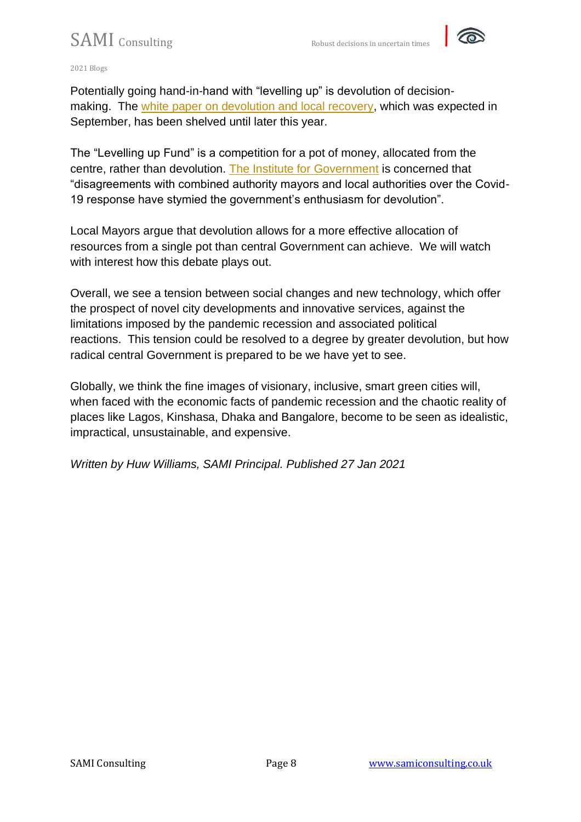

2021 Blogs

Potentially going hand-in-hand with "levelling up" is devolution of decisionmaking. The [white paper on devolution and local recovery,](https://www.ft.com/content/e1e2c392-a2e6-4ac5-9f0e-51e2926b1785) which was expected in September, has been shelved until later this year.

The "Levelling up Fund" is a competition for a pot of money, allocated from the centre, rather than devolution. [The Institute for Government](https://www.instituteforgovernment.org.uk/blog/government-needs-devolve-infrastructure-decision-making-and-spending) is concerned that "disagreements with combined authority mayors and local authorities over the Covid-19 response have stymied the government's enthusiasm for devolution".

Local Mayors argue that devolution allows for a more effective allocation of resources from a single pot than central Government can achieve. We will watch with interest how this debate plays out.

Overall, we see a tension between social changes and new technology, which offer the prospect of novel city developments and innovative services, against the limitations imposed by the pandemic recession and associated political reactions. This tension could be resolved to a degree by greater devolution, but how radical central Government is prepared to be we have yet to see.

Globally, we think the fine images of visionary, inclusive, smart green cities will, when faced with the economic facts of pandemic recession and the chaotic reality of places like Lagos, Kinshasa, Dhaka and Bangalore, become to be seen as idealistic, impractical, unsustainable, and expensive.

*Written by Huw Williams, SAMI Principal. Published 27 Jan 2021*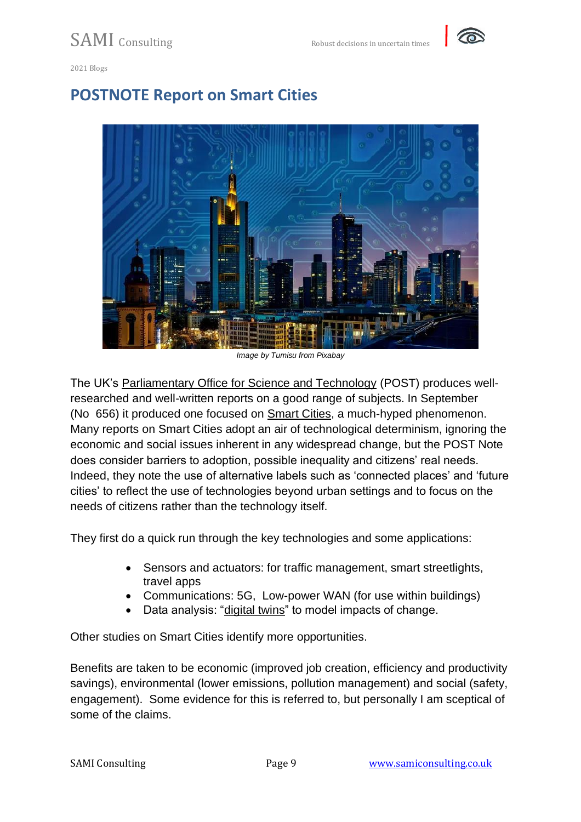

## **POSTNOTE Report on Smart Cities**



*Image by Tumisu from Pixabay*

The UK's [Parliamentary Office for Science and Technology](https://post.parliament.uk/) (POST) produces wellresearched and well-written reports on a good range of subjects. In September (No 656) it produced one focused on [Smart Cities,](https://post.parliament.uk/research-briefings/post-pn-0656/) a much-hyped phenomenon. Many reports on Smart Cities adopt an air of technological determinism, ignoring the economic and social issues inherent in any widespread change, but the POST Note does consider barriers to adoption, possible inequality and citizens' real needs. Indeed, they note the use of alternative labels such as 'connected places' and 'future cities' to reflect the use of technologies beyond urban settings and to focus on the needs of citizens rather than the technology itself.

They first do a quick run through the key technologies and some applications:

- Sensors and actuators: for traffic management, smart streetlights, travel apps
- Communications: 5G, Low-power WAN (for use within buildings)
- Data analysis: ["digital twins"](https://discover.3ds.com/sites/default/files/2020-05/smart-city-technology-collaboration-digital-twin-en.pdf) to model impacts of change.

Other studies on Smart Cities identify more opportunities.

Benefits are taken to be economic (improved job creation, efficiency and productivity savings), environmental (lower emissions, pollution management) and social (safety, engagement). Some evidence for this is referred to, but personally I am sceptical of some of the claims.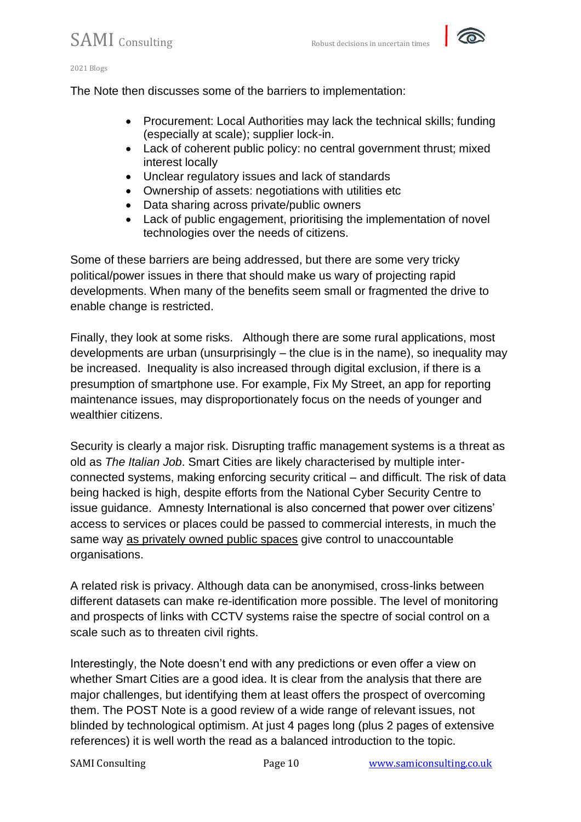

The Note then discusses some of the barriers to implementation:

- Procurement: Local Authorities may lack the technical skills; funding (especially at scale); supplier lock-in.
- Lack of coherent public policy: no central government thrust; mixed interest locally
- Unclear regulatory issues and lack of standards
- Ownership of assets: negotiations with utilities etc
- Data sharing across private/public owners
- Lack of public engagement, prioritising the implementation of novel technologies over the needs of citizens.

Some of these barriers are being addressed, but there are some very tricky political/power issues in there that should make us wary of projecting rapid developments. When many of the benefits seem small or fragmented the drive to enable change is restricted.

Finally, they look at some risks. Although there are some rural applications, most developments are urban (unsurprisingly – the clue is in the name), so inequality may be increased. Inequality is also increased through digital exclusion, if there is a presumption of smartphone use. For example, Fix My Street, an app for reporting maintenance issues, may disproportionately focus on the needs of younger and wealthier citizens.

Security is clearly a major risk. Disrupting traffic management systems is a threat as old as *The Italian Job*. Smart Cities are likely characterised by multiple interconnected systems, making enforcing security critical – and difficult. The risk of data being hacked is high, despite efforts from the National Cyber Security Centre to issue guidance. Amnesty International is also concerned that power over citizens' access to services or places could be passed to commercial interests, in much the same way [as privately owned public spaces](https://www.architectsjournal.co.uk/news/opinion/there-is-nothing-wrong-with-private-companies-managing-public-spaces) give control to unaccountable organisations.

A related risk is privacy. Although data can be anonymised, cross-links between different datasets can make re-identification more possible. The level of monitoring and prospects of links with CCTV systems raise the spectre of social control on a scale such as to threaten civil rights.

Interestingly, the Note doesn't end with any predictions or even offer a view on whether Smart Cities are a good idea. It is clear from the analysis that there are major challenges, but identifying them at least offers the prospect of overcoming them. The POST Note is a good review of a wide range of relevant issues, not blinded by technological optimism. At just 4 pages long (plus 2 pages of extensive references) it is well worth the read as a balanced introduction to the topic.